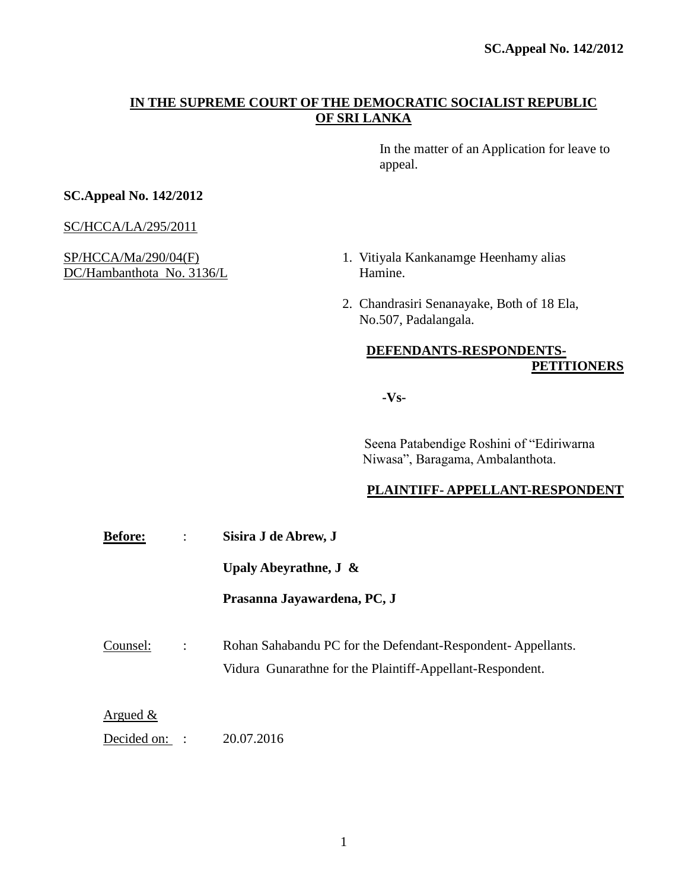# **IN THE SUPREME COURT OF THE DEMOCRATIC SOCIALIST REPUBLIC OF SRI LANKA**

In the matter of an Application for leave to appeal.

# **SC.Appeal No. 142/2012**

SC/HCCA/LA/295/2011

DC/Hambanthota No. 3136/L Hamine.

- SP/HCCA/Ma/290/04(F) 1. Vitiyala Kankanamge Heenhamy alias
	- 2. Chandrasiri Senanayake, Both of 18 Ela, No.507, Padalangala.

# **DEFENDANTS-RESPONDENTS-PETITIONERS**

**-Vs-**

 Seena Patabendige Roshini of "Ediriwarna Niwasa", Baragama, Ambalanthota.

# **PLAINTIFF- APPELLANT-RESPONDENT**

**Before:** : **Sisira J de Abrew, J**

**Upaly Abeyrathne, J &**

**Prasanna Jayawardena, PC, J**

Counsel: : Rohan Sahabandu PC for the Defendant-Respondent- Appellants. Vidura Gunarathne for the Plaintiff-Appellant-Respondent.

Argued &

Decided on: : 20.07.2016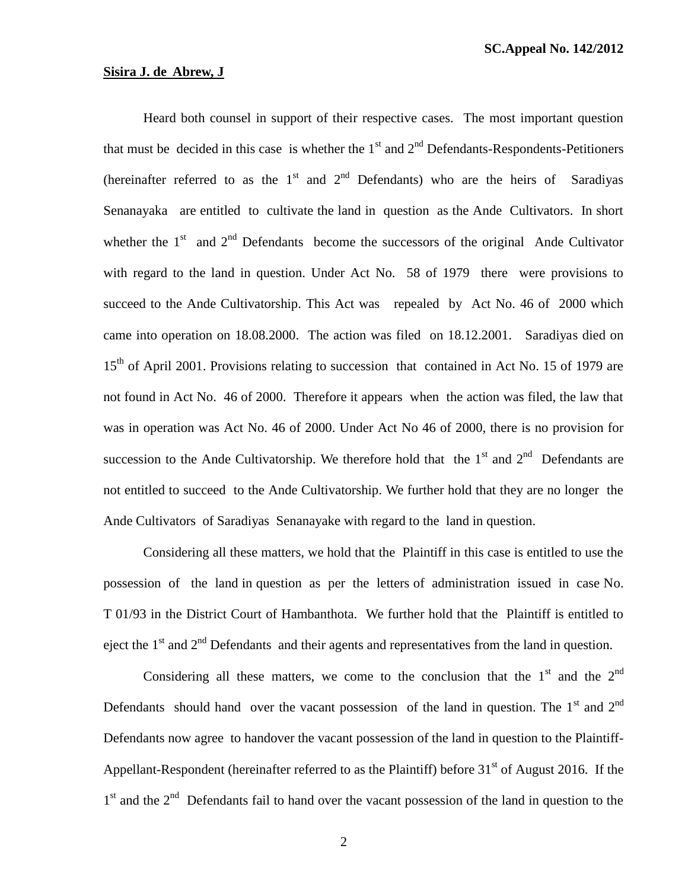### **Sisira J. de Abrew, J**

Heard both counsel in support of their respective cases. The most important question that must be decided in this case is whether the  $1<sup>st</sup>$  and  $2<sup>nd</sup>$  Defendants-Respondents-Petitioners (hereinafter referred to as the  $1<sup>st</sup>$  and  $2<sup>nd</sup>$  Defendants) who are the heirs of Saradiyas Senanayaka are entitled to cultivate the land in question as the Ande Cultivators. In short whether the  $1<sup>st</sup>$  and  $2<sup>nd</sup>$  Defendants become the successors of the original Ande Cultivator with regard to the land in question. Under Act No. 58 of 1979 there were provisions to succeed to the Ande Cultivatorship. This Act was repealed by Act No. 46 of 2000 which came into operation on 18.08.2000. The action was filed on 18.12.2001. Saradiyas died on 15<sup>th</sup> of April 2001. Provisions relating to succession that contained in Act No. 15 of 1979 are not found in Act No. 46 of 2000. Therefore it appears when the action was filed, the law that was in operation was Act No. 46 of 2000. Under Act No 46 of 2000, there is no provision for succession to the Ande Cultivatorship. We therefore hold that the  $1<sup>st</sup>$  and  $2<sup>nd</sup>$  Defendants are not entitled to succeed to the Ande Cultivatorship. We further hold that they are no longer the Ande Cultivators of Saradiyas Senanayake with regard to the land in question.

Considering all these matters, we hold that the Plaintiff in this case is entitled to use the possession of the land in question as per the letters of administration issued in case No. T 01/93 in the District Court of Hambanthota. We further hold that the Plaintiff is entitled to eject the  $1<sup>st</sup>$  and  $2<sup>nd</sup>$  Defendants and their agents and representatives from the land in question.

Considering all these matters, we come to the conclusion that the  $1<sup>st</sup>$  and the  $2<sup>nd</sup>$ Defendants should hand over the vacant possession of the land in question. The  $1<sup>st</sup>$  and  $2<sup>nd</sup>$ Defendants now agree to handover the vacant possession of the land in question to the Plaintiff-Appellant-Respondent (hereinafter referred to as the Plaintiff) before  $31<sup>st</sup>$  of August 2016. If the 1<sup>st</sup> and the 2<sup>nd</sup> Defendants fail to hand over the vacant possession of the land in question to the